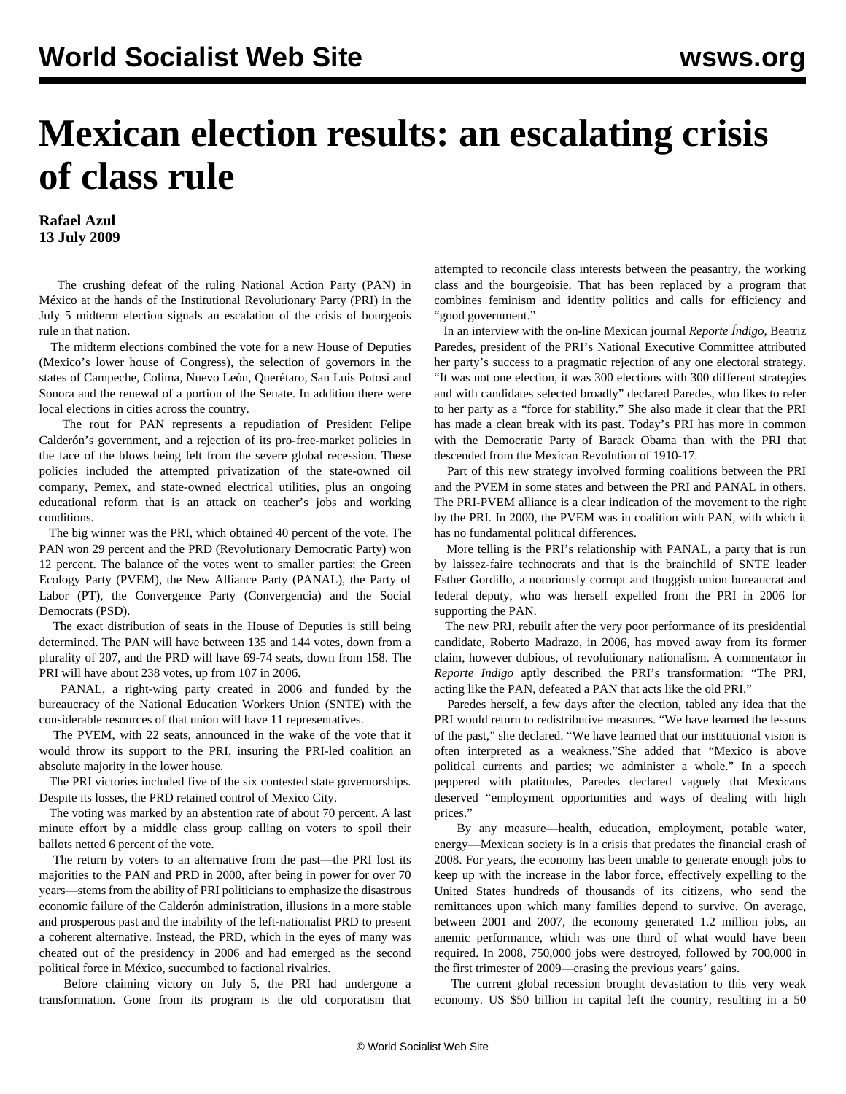## **Mexican election results: an escalating crisis of class rule**

**Rafael Azul 13 July 2009**

 The crushing defeat of the ruling National Action Party (PAN) in México at the hands of the Institutional Revolutionary Party (PRI) in the July 5 midterm election signals an escalation of the crisis of bourgeois rule in that nation.

 The midterm elections combined the vote for a new House of Deputies (Mexico's lower house of Congress), the selection of governors in the states of Campeche, Colima, Nuevo León, Querétaro, San Luis Potosí and Sonora and the renewal of a portion of the Senate. In addition there were local elections in cities across the country.

 The rout for PAN represents a repudiation of President Felipe Calderón's government, and a rejection of its pro-free-market policies in the face of the blows being felt from the severe global recession. These policies included the attempted privatization of the state-owned oil company, Pemex, and state-owned electrical utilities, plus an ongoing educational reform that is an attack on teacher's jobs and working conditions.

 The big winner was the PRI, which obtained 40 percent of the vote. The PAN won 29 percent and the PRD (Revolutionary Democratic Party) won 12 percent. The balance of the votes went to smaller parties: the Green Ecology Party (PVEM), the New Alliance Party (PANAL), the Party of Labor (PT), the Convergence Party (Convergencia) and the Social Democrats (PSD).

 The exact distribution of seats in the House of Deputies is still being determined. The PAN will have between 135 and 144 votes, down from a plurality of 207, and the PRD will have 69-74 seats, down from 158. The PRI will have about 238 votes, up from 107 in 2006.

 PANAL, a right-wing party created in 2006 and funded by the bureaucracy of the National Education Workers Union (SNTE) with the considerable resources of that union will have 11 representatives.

 The PVEM, with 22 seats, announced in the wake of the vote that it would throw its support to the PRI, insuring the PRI-led coalition an absolute majority in the lower house.

 The PRI victories included five of the six contested state governorships. Despite its losses, the PRD retained control of Mexico City.

 The voting was marked by an abstention rate of about 70 percent. A last minute effort by a middle class group calling on voters to spoil their ballots netted 6 percent of the vote.

 The return by voters to an alternative from the past—the PRI lost its majorities to the PAN and PRD in 2000, after being in power for over 70 years—stems from the ability of PRI politicians to emphasize the disastrous economic failure of the Calderón administration, illusions in a more stable and prosperous past and the inability of the left-nationalist PRD to present a coherent alternative. Instead, the PRD, which in the eyes of many was cheated out of the presidency in 2006 and had emerged as the second political force in México, succumbed to factional rivalries.

 Before claiming victory on July 5, the PRI had undergone a transformation. Gone from its program is the old corporatism that attempted to reconcile class interests between the peasantry, the working class and the bourgeoisie. That has been replaced by a program that combines feminism and identity politics and calls for efficiency and "good government."

 In an interview with the on-line Mexican journal *Reporte Índigo*, Beatriz Paredes, president of the PRI's National Executive Committee attributed her party's success to a pragmatic rejection of any one electoral strategy. "It was not one election, it was 300 elections with 300 different strategies and with candidates selected broadly" declared Paredes, who likes to refer to her party as a "force for stability." She also made it clear that the PRI has made a clean break with its past. Today's PRI has more in common with the Democratic Party of Barack Obama than with the PRI that descended from the Mexican Revolution of 1910-17.

 Part of this new strategy involved forming coalitions between the PRI and the PVEM in some states and between the PRI and PANAL in others. The PRI-PVEM alliance is a clear indication of the movement to the right by the PRI. In 2000, the PVEM was in coalition with PAN, with which it has no fundamental political differences.

 More telling is the PRI's relationship with PANAL, a party that is run by laissez-faire technocrats and that is the brainchild of SNTE leader Esther Gordillo, a notoriously corrupt and thuggish union bureaucrat and federal deputy, who was herself expelled from the PRI in 2006 for supporting the PAN.

 The new PRI, rebuilt after the very poor performance of its presidential candidate, Roberto Madrazo, in 2006, has moved away from its former claim, however dubious, of revolutionary nationalism. A commentator in *Reporte Indigo* aptly described the PRI's transformation: "The PRI, acting like the PAN, defeated a PAN that acts like the old PRI."

 Paredes herself, a few days after the election, tabled any idea that the PRI would return to redistributive measures. "We have learned the lessons of the past," she declared. "We have learned that our institutional vision is often interpreted as a weakness."She added that "Mexico is above political currents and parties; we administer a whole." In a speech peppered with platitudes, Paredes declared vaguely that Mexicans deserved "employment opportunities and ways of dealing with high prices."

 By any measure—health, education, employment, potable water, energy—Mexican society is in a crisis that predates the financial crash of 2008. For years, the economy has been unable to generate enough jobs to keep up with the increase in the labor force, effectively expelling to the United States hundreds of thousands of its citizens, who send the remittances upon which many families depend to survive. On average, between 2001 and 2007, the economy generated 1.2 million jobs, an anemic performance, which was one third of what would have been required. In 2008, 750,000 jobs were destroyed, followed by 700,000 in the first trimester of 2009—erasing the previous years' gains.

 The current global recession brought devastation to this very weak economy. US \$50 billion in capital left the country, resulting in a 50